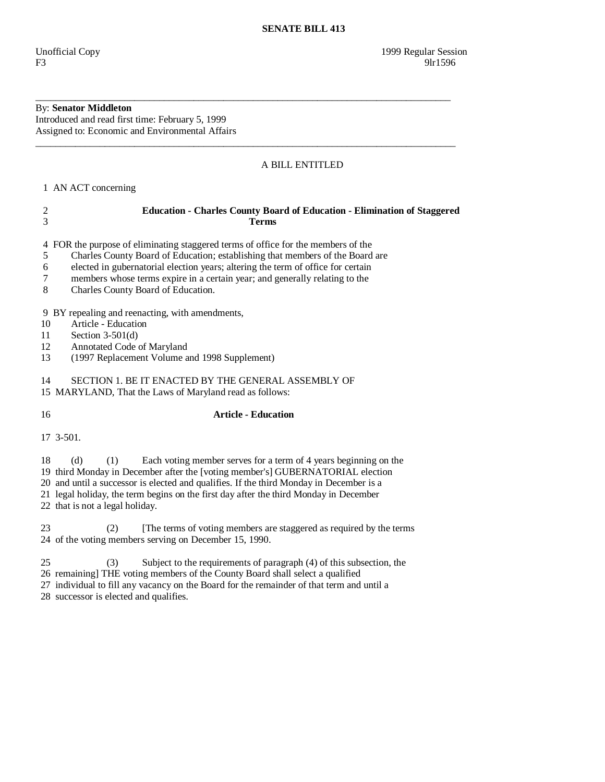## By: **Senator Middleton**

Introduced and read first time: February 5, 1999 Assigned to: Economic and Environmental Affairs

## A BILL ENTITLED

1 AN ACT concerning

| <b>Education - Charles County Board of Education - Elimination of Staggered</b> |
|---------------------------------------------------------------------------------|
| Terms                                                                           |

\_\_\_\_\_\_\_\_\_\_\_\_\_\_\_\_\_\_\_\_\_\_\_\_\_\_\_\_\_\_\_\_\_\_\_\_\_\_\_\_\_\_\_\_\_\_\_\_\_\_\_\_\_\_\_\_\_\_\_\_\_\_\_\_\_\_\_\_\_\_\_\_\_\_\_\_\_\_\_\_\_\_\_\_

\_\_\_\_\_\_\_\_\_\_\_\_\_\_\_\_\_\_\_\_\_\_\_\_\_\_\_\_\_\_\_\_\_\_\_\_\_\_\_\_\_\_\_\_\_\_\_\_\_\_\_\_\_\_\_\_\_\_\_\_\_\_\_\_\_\_\_\_\_\_\_\_\_\_\_\_\_\_\_\_\_\_\_\_\_

4 FOR the purpose of eliminating staggered terms of office for the members of the

- 5 Charles County Board of Education; establishing that members of the Board are
- 6 elected in gubernatorial election years; altering the term of office for certain
- 7 members whose terms expire in a certain year; and generally relating to the
- 8 Charles County Board of Education.

9 BY repealing and reenacting, with amendments,

- 10 Article Education
- 11 Section 3-501(d)
- 12 Annotated Code of Maryland
- 13 (1997 Replacement Volume and 1998 Supplement)

14 SECTION 1. BE IT ENACTED BY THE GENERAL ASSEMBLY OF

15 MARYLAND, That the Laws of Maryland read as follows:

## 16 **Article - Education**

17 3-501.

18 (d) (1) Each voting member serves for a term of 4 years beginning on the

19 third Monday in December after the [voting member's] GUBERNATORIAL election

20 and until a successor is elected and qualifies. If the third Monday in December is a

21 legal holiday, the term begins on the first day after the third Monday in December

22 that is not a legal holiday.

23 (2) The terms of voting members are staggered as required by the terms 24 of the voting members serving on December 15, 1990.

25 (3) Subject to the requirements of paragraph (4) of this subsection, the

26 remaining] THE voting members of the County Board shall select a qualified

27 individual to fill any vacancy on the Board for the remainder of that term and until a

28 successor is elected and qualifies.